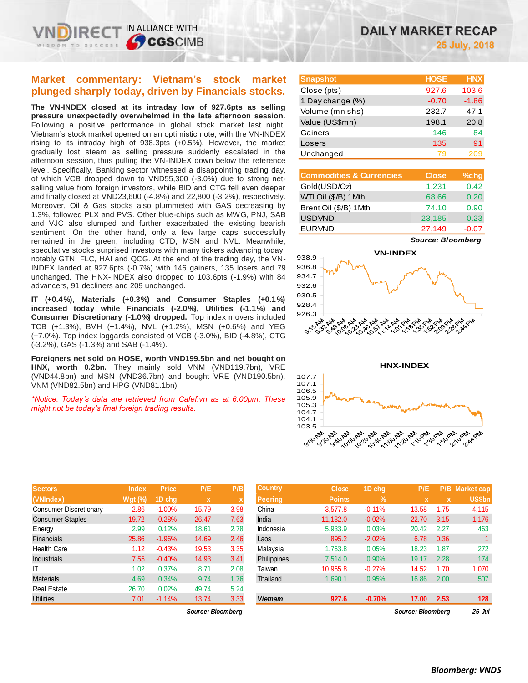## **Market commentary: Vietnam's stock market plunged sharply today, driven by Financials stocks.**

IN ALLIANCE WITH

**S**CGSCIMB

**The VN-INDEX closed at its intraday low of 927.6pts as selling pressure unexpectedly overwhelmed in the late afternoon session.**  Following a positive performance in global stock market last night, Vietnam's stock market opened on an optimistic note, with the VN-INDEX rising to its intraday high of 938.3pts (+0.5%). However, the market gradually lost steam as selling pressure suddenly escalated in the afternoon session, thus pulling the VN-INDEX down below the reference level. Specifically, Banking sector witnessed a disappointing trading day, of which VCB dropped down to VND55,300 (-3.0%) due to strong netselling value from foreign investors, while BID and CTG fell even deeper and finally closed at VND23,600 (-4.8%) and 22,800 (-3.2%), respectively. Moreover, Oil & Gas stocks also plummeted with GAS decreasing by 1.3%, followed PLX and PVS. Other blue-chips such as MWG, PNJ, SAB and VJC also slumped and further exacerbated the existing bearish sentiment. On the other hand, only a few large caps successfully remained in the green, including CTD, MSN and NVL. Meanwhile, speculative stocks surprised investors with many tickers advancing today, notably GTN, FLC, HAI and QCG. At the end of the trading day, the VN-INDEX landed at 927.6pts (-0.7%) with 146 gainers, 135 losers and 79 unchanged. The HNX-INDEX also dropped to 103.6pts (-1.9%) with 84 advancers, 91 decliners and 209 unchanged.

**IT (+0.4%), Materials (+0.3%) and Consumer Staples (+0.1%) increased today while Financials (-2.0%), Utilities (-1.1%) and Consumer Discretionary (-1.0%) dropped.** Top index movers included TCB (+1.3%), BVH (+1.4%), NVL (+1.2%), MSN (+0.6%) and YEG (+7.0%). Top index laggards consisted of VCB (-3.0%), BID (-4.8%), CTG (-3.2%), GAS (-1.3%) and SAB (-1.4%).

**Foreigners net sold on HOSE, worth VND199.5bn and net bought on HNX, worth 0.2bn.** They mainly sold VNM (VND119.7bn), VRE (VND44.8bn) and MSN (VND36.7bn) and bought VRE (VND190.5bn), VNM (VND82.5bn) and HPG (VND81.1bn).

*\*Notice: Today's data are retrieved from Cafef.vn as at 6:00pm. These might not be today's final foreign trading results.* 

| <b>Sectors</b>                | <b>Index</b> | <b>Price</b> | P/E         | P/B  |
|-------------------------------|--------------|--------------|-------------|------|
| (VNIndex)                     | $Wgt$ (%)    | 1D chq       | $\mathbf x$ | X    |
| <b>Consumer Discretionary</b> | 2.86         | $-1.00%$     | 15.79       | 3.98 |
| <b>Consumer Staples</b>       | 19.72        | $-0.28%$     | 26.47       | 7.63 |
| Energy                        | 2.99         | 0.12%        | 18.61       | 2.78 |
| <b>Financials</b>             | 25.86        | $-1.96%$     | 14.69       | 2.46 |
| <b>Health Care</b>            | 1.12         | $-0.43%$     | 19.53       | 3.35 |
| <b>Industrials</b>            | 7.55         | $-0.40%$     | 14.93       | 3.41 |
| IT                            | 1.02         | 0.37%        | 8.71        | 2.08 |
| <b>Materials</b>              | 4.69         | 0.34%        | 9.74        | 1.76 |
| <b>Real Estate</b>            | 26.70        | 0.02%        | 49.74       | 5.24 |
| <b>Utilities</b>              | 7.01         | $-1.14%$     | 13.74       | 3.33 |

| <b>Snapshot</b>  | <b>HOSE</b> | <b>HNX</b> |
|------------------|-------------|------------|
| Close (pts)      | 927.6       | 103.6      |
| 1 Day change (%) | $-0.70$     | $-1.86$    |
| Volume (mn shs)  | 232.7       | 47.1       |
| Value (US\$mn)   | 198.1       | 20.8       |
| Gainers          | 146         | 84         |
| Losers           | 135         | 91         |
| Unchanged        | 79          |            |

| <b>Commodities &amp; Currencies</b> | <b>Close</b> | $%$ chg |
|-------------------------------------|--------------|---------|
| Gold(USD/Oz)                        | 1,231        | 0.42    |
| WTI Oil (\$/B) 1Mth                 | 68.66        | 0.20    |
| Brent Oil (\$/B) 1Mth               | 74.10        | 0.90    |
| <b>USDVND</b>                       | 23,185       | 0.23    |
| <b>EURVND</b>                       | 27,149       | $-0.07$ |





**HNX-INDEX**



| <b>Sectors</b>          | <b>Index</b> | <b>Price</b> | P/E   | P/B  | <b>Country</b>     | <b>Close</b>  | 1D chg        | P/E               |             | <b>P/B Market cap</b> |
|-------------------------|--------------|--------------|-------|------|--------------------|---------------|---------------|-------------------|-------------|-----------------------|
| (VNIndex)               | Wat $(\%)$   | 1D chq       | X     | ×    | Peerina            | <b>Points</b> | $\frac{9}{6}$ |                   | $\mathbf x$ | US\$bn                |
| Consumer Discretionary  | 2.86         | $-1.00\%$    | 15.79 | 3.98 | China              | 3.577.8       | $-0.11%$      | 13.58             | 1.75        | 4,115                 |
| <b>Consumer Staples</b> | 19.72        | $-0.28%$     | 26.47 | 7.63 | India              | 11.132.0      | $-0.02%$      | 22.70             | 3.15        | 1,176                 |
| Energy                  | 2.99         | 0.12%        | 18.61 | 2.78 | Indonesia          | 5,933.9       | 0.03%         | 20.42             | 2.27        | 463                   |
| Financials              | 25.86        | $-1.96%$     | 14.69 | 2.46 | Laos               | 895.2         | $-2.02%$      | 6.78              | 0.36        |                       |
| Health Care             | 1.12         | $-0.43%$     | 19.53 | 3.35 | Malaysia           | 1.763.8       | 0.05%         | 18.23             | 1.87        | 272                   |
| <b>Industrials</b>      | 7.55         | $-0.40%$     | 14.93 | 3.41 | <b>Philippines</b> | 7.514.0       | 0.90%         | 19.17             | 2.28        | 174                   |
| IΤ                      | 1.02         | 0.37%        | 8.71  | 2.08 | Taiwan             | 10.965.8      | $-0.27%$      | 14.52             | 1.70        | 1,070                 |
| <b>Materials</b>        | 4.69         | 0.34%        | 9.74  | 1.76 | Thailand           | 1,690.1       | 0.95%         | 16.86             | 2.00        | 507                   |
| Real Estate             | 26.70        | 0.02%        | 49.74 | 5.24 |                    |               |               |                   |             |                       |
| Utilities               | 7.01         | $-1.14%$     | 13.74 | 3.33 | <b>Vietnam</b>     | 927.6         | $-0.70%$      | 17.00             | 2.53        | 128                   |
| Source: Bloomberg       |              |              |       |      |                    |               |               | Source: Bloomberg |             | $25 -$ Jul            |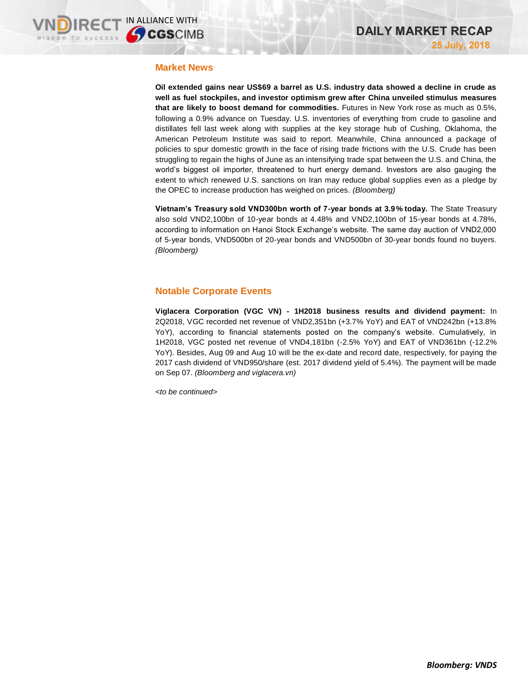## **Market News**

**Oil extended gains near US\$69 a barrel as U.S. industry data showed a decline in crude as well as fuel stockpiles, and investor optimism grew after China unveiled stimulus measures that are likely to boost demand for commodities.** Futures in New York rose as much as 0.5%, following a 0.9% advance on Tuesday. U.S. inventories of everything from crude to gasoline and distillates fell last week along with supplies at the key storage hub of Cushing, Oklahoma, the American Petroleum Institute was said to report. Meanwhile, China announced a package of policies to spur domestic growth in the face of rising trade frictions with the U.S. Crude has been struggling to regain the highs of June as an intensifying trade spat between the U.S. and China, the world's biggest oil importer, threatened to hurt energy demand. Investors are also gauging the extent to which renewed U.S. sanctions on Iran may reduce global supplies even as a pledge by the OPEC to increase production has weighed on prices. *(Bloomberg)*

**Vietnam's Treasury sold VND300bn worth of 7-year bonds at 3.9% today.** The State Treasury also sold VND2,100bn of 10-year bonds at 4.48% and VND2,100bn of 15-year bonds at 4.78%, according to information on Hanoi Stock Exchange's website. The same day auction of VND2,000 of 5-year bonds, VND500bn of 20-year bonds and VND500bn of 30-year bonds found no buyers. *(Bloomberg)*

## **Notable Corporate Events**

**Viglacera Corporation (VGC VN) - 1H2018 business results and dividend payment:** In 2Q2018, VGC recorded net revenue of VND2,351bn (+3.7% YoY) and EAT of VND242bn (+13.8% YoY), according to financial statements posted on the company's website. Cumulatively, in 1H2018, VGC posted net revenue of VND4,181bn (-2.5% YoY) and EAT of VND361bn (-12.2% YoY). Besides, Aug 09 and Aug 10 will be the ex-date and record date, respectively, for paying the 2017 cash dividend of VND950/share (est. 2017 dividend yield of 5.4%). The payment will be made on Sep 07. *(Bloomberg and viglacera.vn)*

*<to be continued>*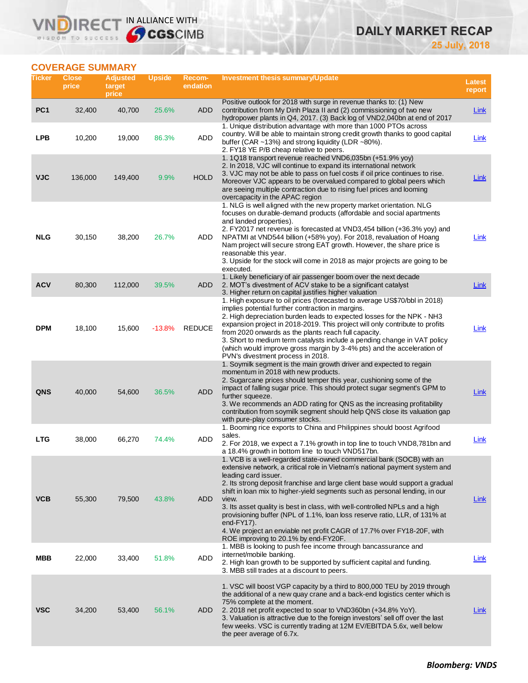# **DAILY MARKET RECAP**

**25 July, 2018**

## **COVERAGE SUMMARY**

WISDOM TO SUCCESS

VND

**IRECT IN ALLIANCE WITH** 

| Ticker          | <b>Close</b><br>price | <b>Adjusted</b><br>target<br>price | <b>Upside</b> | Recom-<br>endation | <b>Investment thesis summary/Update</b>                                                                                                                                                                                                                                                                                                                                                                                                                                                                                                                                                                                                               | Latest<br>report |
|-----------------|-----------------------|------------------------------------|---------------|--------------------|-------------------------------------------------------------------------------------------------------------------------------------------------------------------------------------------------------------------------------------------------------------------------------------------------------------------------------------------------------------------------------------------------------------------------------------------------------------------------------------------------------------------------------------------------------------------------------------------------------------------------------------------------------|------------------|
| PC <sub>1</sub> | 32,400                | 40,700                             | 25.6%         | <b>ADD</b>         | Positive outlook for 2018 with surge in revenue thanks to: (1) New<br>contribution from My Dinh Plaza II and (2) commissioning of two new<br>hydropower plants in Q4, 2017. (3) Back log of VND2,040bn at end of 2017                                                                                                                                                                                                                                                                                                                                                                                                                                 | <b>Link</b>      |
| LPB             | 10,200                | 19,000                             | 86.3%         | <b>ADD</b>         | 1. Unique distribution advantage with more than 1000 PTOs across<br>country. Will be able to maintain strong credit growth thanks to good capital<br>buffer (CAR ~13%) and strong liquidity (LDR ~80%).<br>2. FY18 YE P/B cheap relative to peers.                                                                                                                                                                                                                                                                                                                                                                                                    | Link             |
| <b>VJC</b>      | 136,000               | 149,400                            | 9.9%          | <b>HOLD</b>        | 1. 1Q18 transport revenue reached VND6,035bn (+51.9% yoy)<br>2. In 2018, VJC will continue to expand its international network<br>3. VJC may not be able to pass on fuel costs if oil price continues to rise.<br>Moreover VJC appears to be overvalued compared to global peers which<br>are seeing multiple contraction due to rising fuel prices and looming<br>overcapacity in the APAC region                                                                                                                                                                                                                                                    | <b>Link</b>      |
| <b>NLG</b>      | 30,150                | 38,200                             | 26.7%         | ADD                | 1. NLG is well aligned with the new property market orientation. NLG<br>focuses on durable-demand products (affordable and social apartments<br>and landed properties).<br>2. FY2017 net revenue is forecasted at VND3,454 billion (+36.3% yoy) and<br>NPATMI at VND544 billion (+58% yoy). For 2018, revaluation of Hoang<br>Nam project will secure strong EAT growth. However, the share price is<br>reasonable this year.<br>3. Upside for the stock will come in 2018 as major projects are going to be<br>executed.                                                                                                                             | <u>Link</u>      |
| <b>ACV</b>      | 80,300                | 112,000                            | 39.5%         | ADD                | 1. Likely beneficiary of air passenger boom over the next decade<br>2. MOT's divestment of ACV stake to be a significant catalyst<br>3. Higher return on capital justifies higher valuation                                                                                                                                                                                                                                                                                                                                                                                                                                                           | <b>Link</b>      |
| <b>DPM</b>      | 18,100                | 15,600                             | $-13.8%$      | <b>REDUCE</b>      | 1. High exposure to oil prices (forecasted to average US\$70/bbl in 2018)<br>implies potential further contraction in margins.<br>2. High depreciation burden leads to expected losses for the NPK - NH3<br>expansion project in 2018-2019. This project will only contribute to profits<br>from 2020 onwards as the plants reach full capacity.<br>3. Short to medium term catalysts include a pending change in VAT policy<br>(which would improve gross margin by 3-4% pts) and the acceleration of<br>PVN's divestment process in 2018.                                                                                                           | <b>Link</b>      |
| <b>QNS</b>      | 40,000                | 54,600                             | 36.5%         | <b>ADD</b>         | 1. Soymilk segment is the main growth driver and expected to regain<br>momentum in 2018 with new products.<br>2. Sugarcane prices should temper this year, cushioning some of the<br>impact of falling sugar price. This should protect sugar segment's GPM to<br>further squeeze.<br>3. We recommends an ADD rating for QNS as the increasing profitability<br>contribution from soymilk segment should help QNS close its valuation gap<br>with pure-play consumer stocks.                                                                                                                                                                          | <b>Link</b>      |
| <b>LTG</b>      | 38,000                | 66,270                             | 74.4%         | <b>ADD</b>         | 1. Booming rice exports to China and Philippines should boost Agrifood<br>sales.<br>2. For 2018, we expect a 7.1% growth in top line to touch VND8,781bn and<br>a 18.4% growth in bottom line to touch VND517bn.                                                                                                                                                                                                                                                                                                                                                                                                                                      | Link             |
| <b>VCB</b>      | 55,300                | 79,500                             | 43.8%         | ADD                | 1. VCB is a well-regarded state-owned commercial bank (SOCB) with an<br>extensive network, a critical role in Vietnam's national payment system and<br>leading card issuer.<br>2. Its strong deposit franchise and large client base would support a gradual<br>shift in loan mix to higher-yield segments such as personal lending, in our<br>view.<br>3. Its asset quality is best in class, with well-controlled NPLs and a high<br>provisioning buffer (NPL of 1.1%, loan loss reserve ratio, LLR, of 131% at<br>end- $FY17$ ).<br>4. We project an enviable net profit CAGR of 17.7% over FY18-20F, with<br>ROE improving to 20.1% by end-FY20F. | Link             |
| MBB             | 22,000                | 33,400                             | 51.8%         | <b>ADD</b>         | 1. MBB is looking to push fee income through bancassurance and<br>internet/mobile banking.<br>2. High loan growth to be supported by sufficient capital and funding.<br>3. MBB still trades at a discount to peers.                                                                                                                                                                                                                                                                                                                                                                                                                                   | Link             |
| <b>VSC</b>      | 34,200                | 53,400                             | 56.1%         | ADD.               | 1. VSC will boost VGP capacity by a third to 800,000 TEU by 2019 through<br>the additional of a new quay crane and a back-end logistics center which is<br>75% complete at the moment.<br>2. 2018 net profit expected to soar to VND360bn (+34.8% YoY).<br>3. Valuation is attractive due to the foreign investors' sell off over the last<br>few weeks. VSC is currently trading at 12M EV/EBITDA 5.6x, well below<br>the peer average of 6.7x.                                                                                                                                                                                                      | Link             |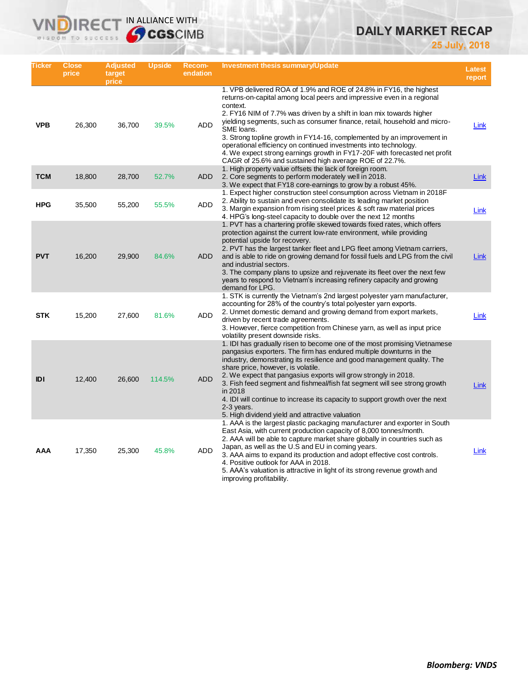# **DAILY MARKET RECAP**

**25 July, 2018**

| Ticker     | <b>Close</b><br>price | <b>Adjusted</b><br>target<br>price | Upside | Recom-<br>endation | Investment thesis summary/Update                                                                                                                                                                                                                                                                                                                                                                                                                                                                                                                                                                                  | <b>Latest</b><br>report |
|------------|-----------------------|------------------------------------|--------|--------------------|-------------------------------------------------------------------------------------------------------------------------------------------------------------------------------------------------------------------------------------------------------------------------------------------------------------------------------------------------------------------------------------------------------------------------------------------------------------------------------------------------------------------------------------------------------------------------------------------------------------------|-------------------------|
| <b>VPB</b> | 26,300                | 36,700                             | 39.5%  | <b>ADD</b>         | 1. VPB delivered ROA of 1.9% and ROE of 24.8% in FY16, the highest<br>returns-on-capital among local peers and impressive even in a regional<br>context.<br>2. FY16 NIM of 7.7% was driven by a shift in loan mix towards higher<br>yielding segments, such as consumer finance, retail, household and micro-<br>SME loans.<br>3. Strong topline growth in FY14-16, complemented by an improvement in<br>operational efficiency on continued investments into technology.<br>4. We expect strong earnings growth in FY17-20F with forecasted net profit<br>CAGR of 25.6% and sustained high average ROE of 22.7%. | Link                    |
| <b>TCM</b> | 18,800                | 28,700                             | 52.7%  | <b>ADD</b>         | 1. High property value offsets the lack of foreign room.<br>2. Core segments to perform moderately well in 2018.<br>3. We expect that FY18 core-earnings to grow by a robust 45%.                                                                                                                                                                                                                                                                                                                                                                                                                                 | Link                    |
| <b>HPG</b> | 35,500                | 55,200                             | 55.5%  | <b>ADD</b>         | 1. Expect higher construction steel consumption across Vietnam in 2018F<br>2. Ability to sustain and even consolidate its leading market position<br>3. Margin expansion from rising steel prices & soft raw material prices<br>4. HPG's long-steel capacity to double over the next 12 months                                                                                                                                                                                                                                                                                                                    | Link                    |
| <b>PVT</b> | 16,200                | 29,900                             | 84.6%  | <b>ADD</b>         | 1. PVT has a chartering profile skewed towards fixed rates, which offers<br>protection against the current low-rate environment, while providing<br>potential upside for recovery.<br>2. PVT has the largest tanker fleet and LPG fleet among Vietnam carriers,<br>and is able to ride on growing demand for fossil fuels and LPG from the civil<br>and industrial sectors.<br>3. The company plans to upsize and rejuvenate its fleet over the next few<br>years to respond to Vietnam's increasing refinery capacity and growing<br>demand for LPG.                                                             | Link                    |
| <b>STK</b> | 15,200                | 27,600                             | 81.6%  | <b>ADD</b>         | 1. STK is currently the Vietnam's 2nd largest polyester yarn manufacturer,<br>accounting for 28% of the country's total polyester yarn exports.<br>2. Unmet domestic demand and growing demand from export markets,<br>driven by recent trade agreements.<br>3. However, fierce competition from Chinese yarn, as well as input price<br>volatility present downside risks.                                                                                                                                                                                                                                       | Link                    |
| IDI        | 12,400                | 26,600                             | 114.5% | <b>ADD</b>         | 1. IDI has gradually risen to become one of the most promising Vietnamese<br>pangasius exporters. The firm has endured multiple downturns in the<br>industry, demonstrating its resilience and good management quality. The<br>share price, however, is volatile.<br>2. We expect that pangasius exports will grow strongly in 2018.<br>3. Fish feed segment and fishmeal/fish fat segment will see strong growth<br>in 2018<br>4. IDI will continue to increase its capacity to support growth over the next<br>$2-3$ years.<br>5. High dividend yield and attractive valuation                                  | Link                    |
| AAA        | 17,350                | 25,300                             | 45.8%  | ADD                | 1. AAA is the largest plastic packaging manufacturer and exporter in South<br>East Asia, with current production capacity of 8,000 tonnes/month.<br>2. AAA will be able to capture market share globally in countries such as<br>Japan, as well as the U.S and EU in coming years.<br>3. AAA aims to expand its production and adopt effective cost controls.<br>4. Positive outlook for AAA in 2018.<br>5. AAA's valuation is attractive in light of its strong revenue growth and<br>improving profitability.                                                                                                   | Link                    |

**VNDIRECT IN ALLIANCE WITH**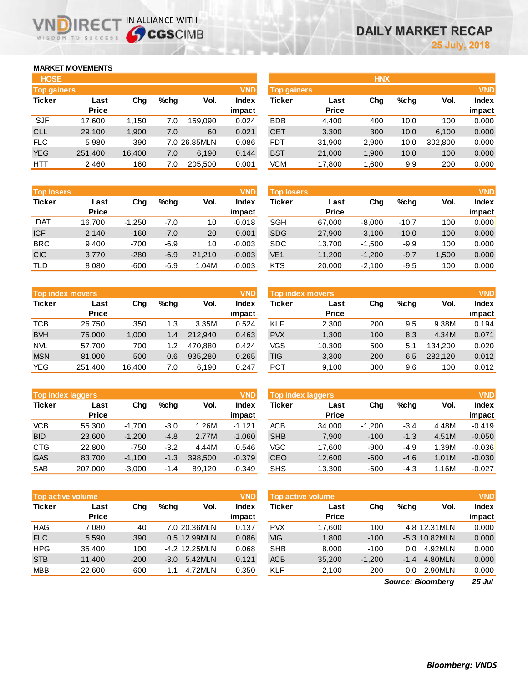## **MARKET MOVEMENTS**

WISDOM TO SUCCESS

IR<sub>E</sub>

| <b>HOSE</b>        |              |        |      |              |              |
|--------------------|--------------|--------|------|--------------|--------------|
| <b>Top gainers</b> |              |        |      |              | <b>VND</b>   |
| <b>Ticker</b>      | Last         | Cha    | %chq | Vol.         | <b>Index</b> |
|                    | <b>Price</b> |        |      |              | impact       |
| <b>SJF</b>         | 17,600       | 1,150  | 7.0  | 159,090      | 0.024        |
| <b>CLL</b>         | 29,100       | 1,900  | 7.0  | 60           | 0.021        |
| <b>FLC</b>         | 5,980        | 390    |      | 7.0 26.85MLN | 0.086        |
| <b>YEG</b>         | 251,400      | 16,400 | 7.0  | 6,190        | 0.144        |
| HTT                | 2,460        | 160    | 7.0  | 205,500      | 0.001        |

IN ALLIANCE WITH

| <b>HOSE</b>        |              |        |         |              |              | <b>HNX</b>         |              |       |         |         |              |
|--------------------|--------------|--------|---------|--------------|--------------|--------------------|--------------|-------|---------|---------|--------------|
| <b>Top gainers</b> |              |        |         |              | <b>VND</b>   | <b>Top gainers</b> |              |       |         |         | <b>VND</b>   |
| Ticker             | Last         | Chg    | $%$ chq | Vol.         | <b>Index</b> | <b>Ticker</b>      | Last         | Chg   | $%$ chq | Vol.    | <b>Index</b> |
|                    | <b>Price</b> |        |         |              | impact       |                    | <b>Price</b> |       |         |         | impact       |
| <b>SJF</b>         | 17,600       | 1.150  | 7.0     | 159.090      | 0.024        | <b>BDB</b>         | 4,400        | 400   | 10.0    | 100     | 0.000        |
| CLL                | 29,100       | 1,900  | 7.0     | 60           | 0.021        | <b>CET</b>         | 3,300        | 300   | 10.0    | 6,100   | 0.000        |
| <b>FLC</b>         | 5.980        | 390    |         | 7.0 26.85MLN | 0.086        | <b>FDT</b>         | 31,900       | 2,900 | 10.0    | 302,800 | 0.000        |
| <b>YEG</b>         | 251,400      | 16,400 | 7.0     | 6,190        | 0.144        | <b>BST</b>         | 21,000       | 1,900 | 10.0    | 100     | 0.000        |
| HTT                | 2,460        | 160    | 7.0     | 205,500      | 0.001        | <b>VCM</b>         | 17,800       | 1,600 | 9.9     | 200     | 0.000        |
|                    |              |        |         |              |              |                    |              |       |         |         |              |

| <b>Top losers</b> |              |          |        |        | <b>VND</b>   |
|-------------------|--------------|----------|--------|--------|--------------|
| <b>Ticker</b>     | Last         | Cha      | %chq   | Vol.   | <b>Index</b> |
|                   | <b>Price</b> |          |        |        | impact       |
| <b>DAT</b>        | 16,700       | $-1,250$ | $-7.0$ | 10     | $-0.018$     |
| <b>ICF</b>        | 2,140        | $-160$   | $-7.0$ | 20     | $-0.001$     |
| <b>BRC</b>        | 9,400        | $-700$   | $-6.9$ | 10     | $-0.003$     |
| <b>CIG</b>        | 3,770        | $-280$   | $-6.9$ | 21,210 | $-0.003$     |
| TLD               | 8.080        | $-600$   | $-6.9$ | 1.04M  | $-0.003$     |

|               | <b>VND</b><br><b>Top index movers</b> |        |         |         |              |  |  |  |  |  |  |  |
|---------------|---------------------------------------|--------|---------|---------|--------------|--|--|--|--|--|--|--|
| <b>Ticker</b> | Last                                  | Cha    | $%$ chq | Vol.    | <b>Index</b> |  |  |  |  |  |  |  |
|               | <b>Price</b>                          |        |         |         | impact       |  |  |  |  |  |  |  |
| <b>TCB</b>    | 26,750                                | 350    | 1.3     | 3.35M   | 0.524        |  |  |  |  |  |  |  |
| <b>BVH</b>    | 75,000                                | 1,000  | 1.4     | 212.940 | 0.463        |  |  |  |  |  |  |  |
| <b>NVL</b>    | 57,700                                | 700    | 1.2     | 470.880 | 0.424        |  |  |  |  |  |  |  |
| <b>MSN</b>    | 81,000                                | 500    | 0.6     | 935,280 | 0.265        |  |  |  |  |  |  |  |
| <b>YEG</b>    | 251,400                               | 16,400 | 7.0     | 6,190   | 0.247        |  |  |  |  |  |  |  |

|               | <b>VND</b><br><b>Top index laggers</b> |          |         |         |                 |               | <b>Top index laggers</b> |          |        |       | <b>VND</b>      |
|---------------|----------------------------------------|----------|---------|---------|-----------------|---------------|--------------------------|----------|--------|-------|-----------------|
| <b>Ticker</b> | Last<br><b>Price</b>                   | Chg      | $%$ chq | Vol.    | Index<br>impact | <b>Ticker</b> | Last<br><b>Price</b>     | Chg      | %chq   | Vol.  | Index<br>impact |
| <b>VCB</b>    | 55,300                                 | $-1.700$ | $-3.0$  | 1.26M   | $-1.121$        | <b>ACB</b>    | 34.000                   | $-1.200$ | $-3.4$ | 4.48M | $-0.419$        |
| <b>BID</b>    | 23,600                                 | $-1,200$ | $-4.8$  | 2.77M   | $-1.060$        | <b>SHB</b>    | 7.900                    | $-100$   | $-1.3$ | 4.51M | $-0.050$        |
| <b>CTG</b>    | 22,800                                 | $-750$   | $-3.2$  | 4.44M   | $-0.546$        | <b>VGC</b>    | 17.600                   | $-900$   | $-4.9$ | 1.39M | $-0.036$        |
| <b>GAS</b>    | 83.700                                 | $-1.100$ | $-1.3$  | 398,500 | $-0.379$        | CEO           | 12,600                   | $-600$   | $-4.6$ | 1.01M | $-0.030$        |
| <b>SAB</b>    | 207.000                                | $-3,000$ | -1.4    | 89.120  | $-0.349$        | <b>SHS</b>    | 13.300                   | -600     | $-4.3$ | 16M   | $-0.027$        |

|               | <b>VND</b><br><b>Top active volume</b> |        |         |               |              |  |  |  |  |  |  |  |
|---------------|----------------------------------------|--------|---------|---------------|--------------|--|--|--|--|--|--|--|
| <b>Ticker</b> | Last                                   | Cha    | $%$ chq | Vol.          | <b>Index</b> |  |  |  |  |  |  |  |
|               | <b>Price</b>                           |        |         |               | impact       |  |  |  |  |  |  |  |
| <b>HAG</b>    | 7,080                                  | 40     |         | 7.0 20.36MLN  | 0.137        |  |  |  |  |  |  |  |
| <b>FLC</b>    | 5.590                                  | 390    |         | 0.5 12.99MLN  | 0.086        |  |  |  |  |  |  |  |
| <b>HPG</b>    | 35,400                                 | 100    |         | -4.2 12.25MLN | 0.068        |  |  |  |  |  |  |  |
| <b>STB</b>    | 11,400                                 | $-200$ | $-3.0$  | 5.42MLN       | $-0.121$     |  |  |  |  |  |  |  |
| <b>MBB</b>    | 22,600                                 | $-600$ | $-1.1$  | 4.72MLN       | $-0.350$     |  |  |  |  |  |  |  |

| <b>Top losers</b> |              |          |         |        | <b>VND</b>   | <b>Top losers</b> |              |          |         |       | <b>VND</b>   |
|-------------------|--------------|----------|---------|--------|--------------|-------------------|--------------|----------|---------|-------|--------------|
| Ticker            | Last         | Chg      | $%$ chq | Vol.   | <b>Index</b> | Ticker            | Last         | Chg      | $%$ chq | Vol.  | <b>Index</b> |
|                   | <b>Price</b> |          |         |        | impact       |                   | <b>Price</b> |          |         |       | impact       |
| <b>DAT</b>        | 16.700       | $-1.250$ | $-7.0$  | 10     | $-0.018$     | <b>SGH</b>        | 67.000       | $-8.000$ | $-10.7$ | 100   | 0.000        |
| <b>ICF</b>        | 2,140        | $-160$   | $-7.0$  | 20     | $-0.001$     | <b>SDG</b>        | 27,900       | $-3.100$ | $-10.0$ | 100   | 0.000        |
| BRC               | 9,400        | $-700$   | $-6.9$  | 10     | $-0.003$     | <b>SDC</b>        | 13.700       | $-1.500$ | $-9.9$  | 100   | 0.000        |
| <b>CIG</b>        | 3,770        | $-280$   | $-6.9$  | 21.210 | $-0.003$     | VE <sub>1</sub>   | 11.200       | $-1.200$ | $-9.7$  | 1.500 | 0.000        |
| TLD               | 8,080        | $-600$   | $-6.9$  | .04M   | $-0.003$     | <b>KTS</b>        | 20,000       | $-2,100$ | $-9.5$  | 100   | 0.000        |

|            | <b>VND</b><br><b>Top index movers</b> |        |         |         |        |               | <b>VND</b><br>Top index movers |     |      |         |              |
|------------|---------------------------------------|--------|---------|---------|--------|---------------|--------------------------------|-----|------|---------|--------------|
| Ticker     | Last                                  | Chg    | $%$ chq | Vol.    | Index  | <b>Ticker</b> | Last                           | Chg | %chq | Vol.    | <b>Index</b> |
|            | <b>Price</b>                          |        |         |         | impact |               | <b>Price</b>                   |     |      |         | impact       |
| тсв        | 26.750                                | 350    | 1.3     | 3.35M   | 0.524  | <b>KLF</b>    | 2,300                          | 200 | 9.5  | 9.38M   | 0.194        |
| <b>BVH</b> | 75.000                                | 1.000  | 1.4     | 212.940 | 0.463  | <b>PVX</b>    | 1.300                          | 100 | 8.3  | 4.34M   | 0.071        |
| NVL        | 57.700                                | 700    | 1.2     | 470.880 | 0.424  | VGS           | 10,300                         | 500 | 5.1  | 134.200 | 0.020        |
| <b>MSN</b> | 81,000                                | 500    | 0.6     | 935.280 | 0.265  | TIG           | 3,300                          | 200 | 6.5  | 282.120 | 0.012        |
| YEG        | 251,400                               | 16,400 | 7.0     | 6,190   | 0.247  | <b>PCT</b>    | 9,100                          | 800 | 9.6  | 100     | 0.012        |

| <b>VND</b><br><b>Top index laggers</b> |              |          |        |       |              |  |  |  |  |  |  |  |
|----------------------------------------|--------------|----------|--------|-------|--------------|--|--|--|--|--|--|--|
| <b>Ticker</b>                          | Last         | Cha      | %chq   | Vol.  | <b>Index</b> |  |  |  |  |  |  |  |
|                                        | <b>Price</b> |          |        |       | impact       |  |  |  |  |  |  |  |
| <b>ACB</b>                             | 34.000       | $-1,200$ | $-3.4$ | 4.48M | $-0.419$     |  |  |  |  |  |  |  |
| <b>SHB</b>                             | 7.900        | $-100$   | $-1.3$ | 4.51M | $-0.050$     |  |  |  |  |  |  |  |
| <b>VGC</b>                             | 17,600       | $-900$   | $-4.9$ | 1.39M | $-0.036$     |  |  |  |  |  |  |  |
| <b>CEO</b>                             | 12,600       | $-600$   | $-4.6$ | 1.01M | $-0.030$     |  |  |  |  |  |  |  |
| <b>SHS</b>                             | 13.300       | $-600$   | $-4.3$ | 1.16M | $-0.027$     |  |  |  |  |  |  |  |

|            | <b>VND</b><br><b>Top active volume</b> |        |         |               |                        |            | <b>Top active volume</b> |          |         |                 | <b>VND</b>             |
|------------|----------------------------------------|--------|---------|---------------|------------------------|------------|--------------------------|----------|---------|-----------------|------------------------|
| Ticker     | Last<br><b>Price</b>                   | Chg    | $%$ chq | Vol.          | <b>Index</b><br>impact | Ticker     | Last<br><b>Price</b>     | Chg      | $%$ chq | Vol.            | <b>Index</b><br>impact |
| HAG        | 7.080                                  | 40     |         | 7.0 20.36MLN  | 0.137                  | <b>PVX</b> | 17,600                   | 100      |         | 4.8 12.31MLN    | 0.000                  |
| <b>FLC</b> | 5.590                                  | 390    |         | 0.5 12.99MLN  | 0.086                  | VIG        | 1,800                    | $-100$   |         | $-5.3$ 10.82MLN | 0.000                  |
| HPG        | 35.400                                 | 100    |         | -4.2 12.25MLN | 0.068                  | <b>SHB</b> | 8,000                    | $-100$   | 0.0     | 4.92MLN         | 0.000                  |
| <b>STB</b> | 11.400                                 | $-200$ | $-3.0$  | 5.42MLN       | $-0.121$               | <b>ACB</b> | 35,200                   | $-1.200$ | $-1.4$  | 4.80MLN         | 0.000                  |
| <b>MBB</b> | 22,600                                 | $-600$ | -1.1    | 4.72MLN       | $-0.350$               | <b>KLF</b> | 2,100                    | 200      | 0.0     | 2.90MLN         | 0.000                  |

*25 Jul Source: Bloomberg*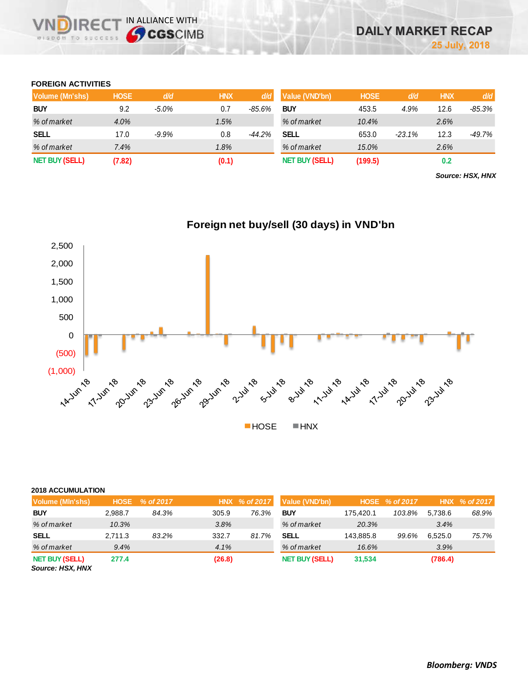### **FOREIGN ACTIVITIES**

**DIRE** WISDOM TO SUCCESS IN ALLIANCE WITH

| Volume (Mn'shs)       | <b>HOSE</b> | d/d      | <b>HNX</b> | d/d      | Value (VND'bn)        | <b>HOSE</b> | d/d      | <b>HNX</b> | d/d    |
|-----------------------|-------------|----------|------------|----------|-----------------------|-------------|----------|------------|--------|
| <b>BUY</b>            | 9.2         | $-5.0\%$ | 0.7        | $-85.6%$ | <b>BUY</b>            | 453.5       | 4.9%     | 12.6       | -85.3% |
| % of market           | 4.0%        |          | 1.5%       |          | % of market           | 10.4%       |          | 2.6%       |        |
| <b>SELL</b>           | 17.0        | $-9.9%$  | 0.8        | $-44.2%$ | <b>SELL</b>           | 653.0       | $-23.1%$ | 12.3       | -49.7% |
| % of market           | 7.4%        |          | 1.8%       |          | % of market           | 15.0%       |          | 2.6%       |        |
| <b>NET BUY (SELL)</b> | (7.82)      |          | (0.1)      |          | <b>NET BUY (SELL)</b> | (199.5)     |          | 0.2        |        |

*Source: HSX, HNX*



#### **2018 ACCUMULATION**

| Volume (MIn'shs)                          | <b>HOSE</b> | $\frac{9}{6}$ of 2017 $^{\circ}$ |        | HNX % of 2017 | Value (VND'bn)        |           | HOSE % of 2017 |         | HNX % of 2017 |
|-------------------------------------------|-------------|----------------------------------|--------|---------------|-----------------------|-----------|----------------|---------|---------------|
| <b>BUY</b>                                | 2.988.7     | 84.3%                            | 305.9  | 76.3%         | <b>BUY</b>            | 175.420.1 | 103.8%         | 5.738.6 | 68.9%         |
| % of market                               | 10.3%       |                                  | 3.8%   |               | % of market           | 20.3%     |                | 3.4%    |               |
| <b>SELL</b>                               | 2.711.3     | 83.2%                            | 332.7  | 81.7%         | SELL                  | 143.885.8 | 99.6%          | 6.525.0 | 75.7%         |
| % of market                               | 9.4%        |                                  | 4.1%   |               | % of market           | 16.6%     |                | 3.9%    |               |
| <b>NET BUY (SELL)</b><br>Source: HSX, HNX | 277.4       |                                  | (26.8) |               | <b>NET BUY (SELL)</b> | 31,534    |                | (786.4) |               |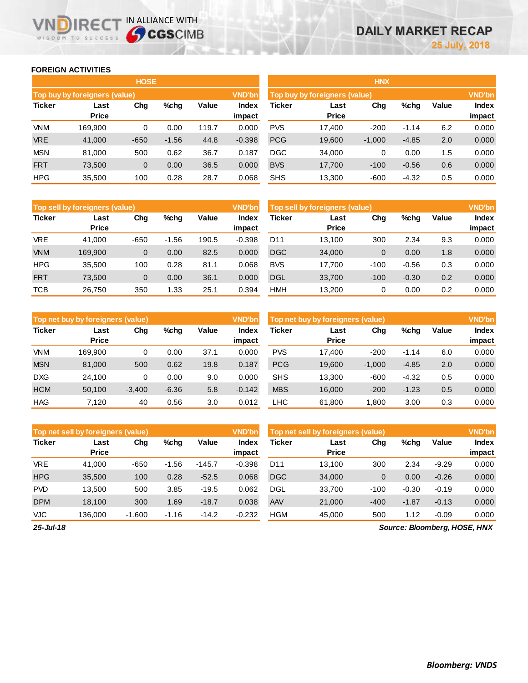**impact**

#### **FOREIGN ACTIVITIES**

WISDOM TO SUCCESS

**VNDIRECT IN ALLIANCE WITH** 

|               |                               | <b>HOSE</b> |         |       |                 | <b>HNX</b>    |                               |          |         |       |                 |
|---------------|-------------------------------|-------------|---------|-------|-----------------|---------------|-------------------------------|----------|---------|-------|-----------------|
|               | Top buy by foreigners (value) |             |         |       | <b>VND'bn</b>   |               | Top buy by foreigners (value) |          |         |       | <b>VND'bn</b>   |
| <b>Ticker</b> | Last<br>Price                 | Chg         | $%$ chg | Value | Index<br>impact | <b>Ticker</b> | Last<br><b>Price</b>          | Chg      | $%$ chg | Value | Index<br>impact |
| <b>VNM</b>    | 169,900                       | 0           | 0.00    | 119.7 | 0.000           | <b>PVS</b>    | 17.400                        | $-200$   | $-1.14$ | 6.2   | 0.000           |
| <b>VRE</b>    | 41.000                        | $-650$      | $-1.56$ | 44.8  | $-0.398$        | <b>PCG</b>    | 19,600                        | $-1,000$ | $-4.85$ | 2.0   | 0.000           |
| <b>MSN</b>    | 81,000                        | 500         | 0.62    | 36.7  | 0.187           | <b>DGC</b>    | 34,000                        | 0        | 0.00    | 1.5   | 0.000           |
| <b>FRT</b>    | 73,500                        | 0           | 0.00    | 36.5  | 0.000           | <b>BVS</b>    | 17,700                        | $-100$   | $-0.56$ | 0.6   | 0.000           |
| <b>HPG</b>    | 35,500                        | 100         | 0.28    | 28.7  | 0.068           | <b>SHS</b>    | 13,300                        | $-600$   | $-4.32$ | 0.5   | 0.000           |
|               |                               |             |         |       |                 |               |                               |          |         |       |                 |

|               | <b>Top sell by foreigners (value)</b> |        |         |       | <b>VND'bn</b>   |            | Top sell by foreigners (value) |        |         |       | <b>VND'bn</b>   |
|---------------|---------------------------------------|--------|---------|-------|-----------------|------------|--------------------------------|--------|---------|-------|-----------------|
| <b>Ticker</b> | Last<br><b>Price</b>                  | Chg    | $%$ chg | Value | Index<br>impact | Ticker     | Last<br><b>Price</b>           | Chg    | $%$ chg | Value | Index<br>impact |
| <b>VRE</b>    | 41.000                                | $-650$ | $-1.56$ | 190.5 | $-0.398$        | D11        | 13.100                         | 300    | 2.34    | 9.3   | 0.000           |
| <b>VNM</b>    | 169,900                               | 0      | 0.00    | 82.5  | 0.000           | <b>DGC</b> | 34,000                         | 0      | 0.00    | 1.8   | 0.000           |
| <b>HPG</b>    | 35.500                                | 100    | 0.28    | 81.1  | 0.068           | <b>BVS</b> | 17.700                         | $-100$ | $-0.56$ | 0.3   | 0.000           |
| <b>FRT</b>    | 73,500                                | 0      | 0.00    | 36.1  | 0.000           | <b>DGL</b> | 33,700                         | $-100$ | $-0.30$ | 0.2   | 0.000           |
| <b>TCB</b>    | 26,750                                | 350    | 1.33    | 25.1  | 0.394           | <b>HMH</b> | 13.200                         |        | 0.00    | 0.2   | 0.000           |

| Top sell by foreigners (value) |                      | <b>VND'bn</b> |         |       |                        |
|--------------------------------|----------------------|---------------|---------|-------|------------------------|
| <b>Ticker</b>                  | Last<br><b>Price</b> | Cha           | %chq    | Value | <b>Index</b><br>impact |
| D <sub>11</sub>                | 13,100               | 300           | 2.34    | 9.3   | 0.000                  |
| <b>DGC</b>                     | 34,000               | 0             | 0.00    | 1.8   | 0.000                  |
| <b>BVS</b>                     | 17,700               | -100          | -0.56   | 0.3   | 0.000                  |
| <b>DGL</b>                     | 33,700               | $-100$        | $-0.30$ | 0.2   | 0.000                  |
| HMH                            | 13,200               | 0             | 0.00    | 0.2   | 0.000                  |

|               | Top net buy by foreigners (value) |          |         |       | <b>VND'bn</b>   | Top net buy by foreigners (value) |                      |          |         |              | <b>VND'bn</b>   |
|---------------|-----------------------------------|----------|---------|-------|-----------------|-----------------------------------|----------------------|----------|---------|--------------|-----------------|
| <b>Ticker</b> | Last<br><b>Price</b>              | Chg      | %chq    | Value | Index<br>impact | Ticker                            | Last<br><b>Price</b> | Chg      | %chg    | <b>Value</b> | Index<br>impact |
| <b>VNM</b>    | 169.900                           | 0        | 0.00    | 37.1  | 0.000           | <b>PVS</b>                        | 17.400               | $-200$   | $-1.14$ | 6.0          | 0.000           |
| <b>MSN</b>    | 81,000                            | 500      | 0.62    | 19.8  | 0.187           | <b>PCG</b>                        | 19,600               | $-1,000$ | $-4.85$ | 2.0          | 0.000           |
| <b>DXG</b>    | 24.100                            | 0        | 0.00    | 9.0   | 0.000           | <b>SHS</b>                        | 13.300               | $-600$   | $-4.32$ | 0.5          | 0.000           |
| <b>HCM</b>    | 50,100                            | $-3,400$ | $-6.36$ | 5.8   | $-0.142$        | <b>MBS</b>                        | 16,000               | $-200$   | $-1.23$ | 0.5          | 0.000           |
| <b>HAG</b>    | 7.120                             | 40       | 0.56    | 3.0   | 0.012           | LHC                               | 61.800               | 1.800    | 3.00    | 0.3          | 0.000           |

|               | <b>VND'bn</b><br>Top net sell by foreigners (value) |          |         |          |                 |                 | Top net sell by foreigners (value) |        |         |         |                 |
|---------------|-----------------------------------------------------|----------|---------|----------|-----------------|-----------------|------------------------------------|--------|---------|---------|-----------------|
| <b>Ticker</b> | Last<br><b>Price</b>                                | Chg      | %chg    | Value    | Index<br>impact | Ticker          | Last<br><b>Price</b>               | Chg    | %chg    | Value   | Index<br>impact |
| <b>VRE</b>    | 41.000                                              | $-650$   | $-1.56$ | $-145.7$ | $-0.398$        | D <sub>11</sub> | 13.100                             | 300    | 2.34    | $-9.29$ | 0.000           |
| <b>HPG</b>    | 35,500                                              | 100      | 0.28    | $-52.5$  | 0.068           | <b>DGC</b>      | 34,000                             | 0      | 0.00    | $-0.26$ | 0.000           |
| <b>PVD</b>    | 13.500                                              | 500      | 3.85    | $-19.5$  | 0.062           | <b>DGL</b>      | 33.700                             | $-100$ | $-0.30$ | $-0.19$ | 0.000           |
| <b>DPM</b>    | 18.100                                              | 300      | 1.69    | $-18.7$  | 0.038           | AAV             | 21,000                             | $-400$ | $-1.87$ | $-0.13$ | 0.000           |
| VJC           | 136.000                                             | $-1,600$ | $-1.16$ | $-14.2$  | $-0.232$        | <b>HGM</b>      | 45,000                             | 500    | 1.12    | $-0.09$ | 0.000           |

*25-Jul-18*

*Source: Bloomberg, HOSE, HNX*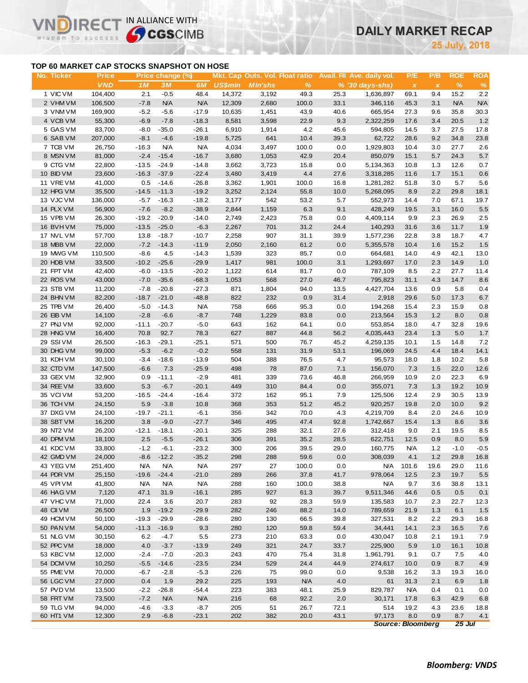# **DAILY MARKET RECAP**

**July, 2018**

## **TOP 60 MARKET CAP STOCKS SNAPSHOT ON HOSE**

 $R \in C$ 

WISDOM TO SUCCESS

 $\vee$ 

IN ALLIANCE WITH

| No. Ticker             | <b>Price</b>     |                  | Price change (%)   |                    |                |                |                    |             | Mkt. Cap Outs. Vol. Float ratio Avail. Fil Ave. daily vol. | P/E                       | P/B          | <b>ROE</b>    | <b>ROA</b>      |
|------------------------|------------------|------------------|--------------------|--------------------|----------------|----------------|--------------------|-------------|------------------------------------------------------------|---------------------------|--------------|---------------|-----------------|
|                        | <b>VND</b>       | 1M               | 3M                 | 6M                 | <b>US\$mln</b> | <b>MIn'shs</b> | %                  |             | $% (30 days-shs)$                                          | $\boldsymbol{\mathsf{x}}$ | $\pmb{\chi}$ | $\frac{9}{6}$ | $\%$            |
| 1 VIC VM               | 104,400          | 2.1              | $-0.5$             | 48.4               | 14,372         | 3,192          | 49.3               | 25.3        | 1,636,897                                                  | 69.1                      | 9.4          | 15.2          | 2.2             |
| 2 VHM VM               | 106,500          | $-7.8$           | <b>N/A</b>         | <b>N/A</b>         | 12,309         | 2,680          | 100.0              | 33.1        | 346,116                                                    | 45.3                      | 3.1          | <b>N/A</b>    | <b>N/A</b>      |
| 3 VNM VM               | 169,900          | $-5.2$           | $-5.6$             | $-17.9$            | 10,635         | 1,451          | 43.9               | 40.6        | 665,954                                                    | 27.3                      | 9.6          | 35.8          | 30.3            |
| 4 VCB VM               | 55,300           | $-6.9$           | $-7.8$             | $-18.3$            | 8,581          | 3,598          | 22.9               | 9.3         | 2,322,259                                                  | 17.6                      | 3.4          | 20.5          | 1.2             |
| 5 GAS VM               | 83,700           | $-8.0$           | $-35.0$            | $-26.1$            | 6,910          | 1,914          | 4.2                | 45.6        | 594,805                                                    | 14.5                      | 3.7          | 27.5          | 17.8            |
| 6 SAB VM               | 207,000          | $-8.1$           | $-4.6$             | $-19.8$            | 5,725          | 641            | 10.4               | 39.3        | 62,722                                                     | 28.6                      | 9.2          | 34.8          | 23.8            |
| 7 TCB VM               | 26,750           | $-16.3$          | <b>N/A</b>         | N/A                | 4,034          | 3,497          | 100.0              | 0.0         | 1,929,803                                                  | 10.4                      | 3.0          | 27.7          | 2.6             |
| 8 MSN VM               | 81,000           | $-2.4$           | $-15.4$            | $-16.7$            | 3,680          | 1,053          | 42.9               | 20.4        | 850,079                                                    | 15.1                      | 5.7          | 24.3          | $5.7\,$         |
| 9 CTG VM               | 22,800           | $-13.5$          | $-24.9$            | $-14.8$            | 3,662          | 3,723          | 15.8               | 0.0         | 5,134,363                                                  | 10.8                      | 1.3          | 12.6          | 0.7             |
| 10 BID VM              | 23,600           | $-16.3$          | $-37.9$            | $-22.4$            | 3,480          | 3,419          | 4.4                | 27.6        | 3,318,285                                                  | 11.6                      | 1.7          | 15.1          | 0.6             |
| 11 VRE VM              | 41,000           | 0.5              | $-14.6$            | $-26.8$            | 3,362          | 1,901          | 100.0              | 16.8        | 1,281,282                                                  | 51.8                      | 3.0          | 5.7           | 5.6             |
| 12 HPG VM              | 35,500           | $-14.5$          | $-11.3$            | $-19.2$            | 3,252          | 2,124          | 55.8               | 10.0        | 5,268,095                                                  | 8.9                       | 2.2          | 29.8          | 18.1            |
| 13 VJC VM              | 136,000          | $-5.7$           | $-16.3$            | $-18.2$            | 3,177          | 542            | 53.2               | 5.7         | 552,973                                                    | 14.4                      | 7.0          | 67.1          | 19.7            |
| 14 PLX VM              | 56,900           | $-7.6$           | $-8.2$             | $-38.9$            | 2,844          | 1,159          | 6.3                | 9.1         | 428,249                                                    | 19.5                      | 3.1          | 16.0          | $5.5\,$         |
| 15 VPB VM              | 26,300           | $-19.2$          | $-20.9$            | $-14.0$            | 2,749          | 2,423          | 75.8               | 0.0         | 4,409,114                                                  | 9.9                       | 2.3          | 26.9          | 2.5             |
| 16 BVHVM               | 75,000           | $-13.5$          | $-25.0$            | $-6.3$             | 2,267          | 701            | 31.2               | 24.4        | 140,293                                                    | 31.6                      | 3.6          | 11.7          | 1.9             |
| 17 NVL VM              | 57,700           | 13.8             | $-18.7$            | $-10.7$            | 2,258          | 907            | 31.1               | 39.9        | 1,577,236                                                  | 22.8                      | 3.8          | 18.7          | 4.7             |
| 18 MBB VM              | 22,000           | $-7.2$           | $-14.3$            | $-11.9$            | 2,050          | 2,160          | 61.2               | 0.0         | 5,355,578                                                  | 10.4                      | 1.6          | 15.2          | 1.5             |
| 19 MWG VM              | 110,500          | $-8.6$           | 4.5                | $-14.3$            | 1,539          | 323            | 85.7               | 0.0         | 664,681                                                    | 14.0                      | 4.9          | 42.1          | 13.0            |
| 20 HDB VM<br>21 FPT VM | 33,500           | $-10.2$          | $-25.6$            | $-29.9$            | 1,417          | 981            | 100.0              | 3.1         | 1,293,697                                                  | 17.0                      | 2.3          | 14.9          | 1.0             |
| 22 ROS VM              | 42,400<br>43,000 | $-6.0$<br>$-7.0$ | $-13.5$<br>$-35.6$ | $-20.2$<br>$-68.3$ | 1,122<br>1,053 | 614<br>568     | 81.7<br>27.0       | 0.0<br>46.7 | 787,109<br>795,823                                         | 8.5<br>31.1               | 2.2<br>4.3   | 27.7<br>14.7  | 11.4<br>$8.6\,$ |
| 23 STB VM              | 11,200           | $-7.8$           | $-20.8$            | $-27.3$            | 871            | 1,804          | 94.0               | 13.5        | 4,427,704                                                  | 13.6                      | 0.9          | 5.8           | 0.4             |
| 24 BHN VM              | 82,200           | $-18.7$          | $-21.0$            | $-48.8$            | 822            | 232            | 0.9                | 31.4        | 2,918                                                      | 29.6                      | 5.0          | 17.3          | 6.7             |
| 25 TPB VM              | 26,400           | $-5.0$           | $-14.3$            | N/A                | 758            | 666            | 95.3               | 0.0         | 194,268                                                    | 15.4                      | 2.3          | 15.9          | 0.8             |
| 26 EIB VM              | 14,100           | $-2.8$           | $-6.6$             | $-8.7$             | 748            | 1,229          | 83.8               | 0.0         | 213,564                                                    | 15.3                      | 1.2          | 8.0           | $0.8\,$         |
| 27 PNJ VM              | 92,000           | $-11.1$          | $-20.7$            | $-5.0$             | 643            | 162            | 64.1               | 0.0         | 553,854                                                    | 18.0                      | 4.7          | 32.8          | 19.6            |
| 28 HNG VM              | 16,400           | 70.8             | 92.7               | 78.3               | 627            | 887            | 44.8               | 56.2        | 4,035,443                                                  | 23.4                      | 1.3          | 5.0           | $1.7$           |
| 29 SSIVM               | 26,500           | $-16.3$          | $-29.1$            | $-25.1$            | 571            | 500            | 76.7               | 45.2        | 4,259,135                                                  | 10.1                      | 1.5          | 14.8          | 7.2             |
| 30 DHG VM              | 99,000           | $-5.3$           | $-6.2$             | $-0.2$             | 558            | 131            | 31.9               | 53.1        | 196,069                                                    | 24.5                      | 4.4          | 18.4          | 14.1            |
| 31 KDH VM              | 30,100           | $-3.4$           | $-18.6$            | $-13.9$            | 504            | 388            | 76.5               | 4.7         | 95,573                                                     | 18.0                      | 1.8          | 10.2          | 5.8             |
| 32 CTD VM              | 147,500          | $-6.6$           | 7.3                | $-25.9$            | 498            | 78             | 87.0               | 7.1         | 156,070                                                    | 7.3                       | 1.5          | 22.0          | 12.6            |
| 33 GEX VM              | 32,900           | 0.9              | $-11.1$            | $-2.9$             | 481            | 339            | 73.6               | 46.8        | 266,959                                                    | 10.9                      | 2.0          | 22.3          | 6.9             |
| 34 REE VM              | 33,600           | 5.3              | $-6.7$             | $-20.1$            | 449            | 310            | 84.4               | 0.0         | 355,071                                                    | 7.3                       | 1.3          | 19.2          | 10.9            |
| 35 VCIVM               | 53,200           | $-16.5$          | $-24.4$            | $-16.4$            | 372            | 162            | 95.1               | 7.9         | 125,506                                                    | 12.4                      | 2.9          | 30.5          | 13.9            |
| 36 TCH VM              | 24,150           | 5.9              | $-3.8$             | 10.8               | 368            | 353            | 51.2               | 45.2        | 920,257                                                    | 19.8                      | 2.0          | 10.0          | 9.2             |
| 37 DXG VM              | 24,100           | $-19.7$          | $-21.1$            | $-6.1$             | 356            | 342            | 70.0               | 4.3         | 4,219,709                                                  | 8.4                       | 2.0          | 24.6          | 10.9            |
| 38 SBT VM              | 16,200           | 3.8              | $-9.0$             | $-27.7$            | 346            | 495            | 47.4               | 92.8        | 1,742,667                                                  | 15.4                      | 1.3          | 8.6           | 3.6             |
| 39 NT2 VM              | 26,200           | $-12.1$          | $-18.1$            | $-20.1$            | 325            | 288            | 32.1               | 27.6        | 312,418                                                    | 9.0                       | 2.1          | 19.5          | 8.5             |
| 40 DPM VM              | 18,100           | 2.5              | $-5.5$             | $-26.1$            | 306            | 391            | 35.2               | 28.5        | 622,751                                                    | 12.5                      | 0.9          | 8.0           | $5.9\,$         |
| 41 KDC VM              | 33,800           | $-1.2$           | $-6.1$             | $-23.2$            | 300            | 206            | 39.5               | 29.0        | 160,775                                                    | <b>N/A</b>                | 1.2          | $-1.0$        | $-0.5$          |
| 42 GMD VM              | 24,000           | $-8.6$           | $-12.2$            | $-35.2$            | 298            | 288            | 59.6               | 0.0         | 308,039                                                    | 4.1                       | 1.2          | 29.8          | 16.8            |
| 43 YEG VM              | 251,400          | <b>N/A</b>       | <b>N/A</b>         | N/A                | 297            | 27             | 100.0              | 0.0         | N/A                                                        | 101.6                     | 19.6         | 29.0          | 11.6            |
| 44 PDR VM              | 25,150           | $-19.6$          | $-24.4$            | $-21.0$            | 289            | 266            | 37.8               | 41.7        | 978,064                                                    | 12.5                      | 2.3          | 19.7          | 5.5             |
| 45 VPIVM               | 41,800           | <b>N/A</b>       | <b>N/A</b>         | <b>N/A</b>         | 288            | 160            | 100.0              | 38.8        | <b>N/A</b>                                                 | 9.7                       | 3.6          | 38.8          | 13.1            |
| 46 HAG VM              | 7,120            | 47.1             | 31.9               | $-16.1$            | 285            | 927            | 61.3               | 39.7        | 9,511,346                                                  | 44.6                      | 0.5          | 0.5           | 0.1             |
| 47 VHC VM              | 71,000           | 22.4             | 3.6                | 20.7               | 283            | 92             | 28.3               | 59.9        | 135,583                                                    | 10.7                      | 2.3          | 22.7          | 12.3            |
| 48 CII VM              | 26,500           | 1.9              | $-19.2$            | $-29.9$            | 282            | 246            | 88.2               | 14.0        | 789,659                                                    | 21.9                      | 1.3          | 6.1           | 1.5             |
| 49 HCM VM              | 50,100           | $-19.3$          | $-29.9$            | $-28.6$            | 280            | 130            | 66.5               | 39.8        | 327,531                                                    | 8.2                       | 2.2          | 29.3          | 16.8            |
| 50 PAN VM              | 54,000           | $-11.3$          | $-16.9$            | 9.3                | 280            | 120            | 59.8               | 59.4        | 34,441                                                     | 14.1                      | 2.3          | 16.5          | 7.6             |
| 51 NLG VM              | 30,150           | 6.2              | $-4.7$             | 5.5                | 273            | 210            | 63.3               | 0.0         | 430,047                                                    | 10.8                      | 2.1          | 19.1          | 7.9             |
| 52 PPC VM              | 18,000           | 4.0              | $-3.7$             | $-13.9$            | 249            | 321            | 24.7               | 33.7        | 225,900                                                    | 5.9                       | 1.0          | 16.1          | 10.8            |
| 53 KBC VM              | 12,000<br>10,250 | $-2.4$           | $-7.0$             | $-20.3$            | 243            | 470            | 75.4               | 31.8        | 1,961,791<br>274,617                                       | 9.1                       | 0.7          | 7.5           | 4.0             |
| 54 DCM VM<br>55 PME VM | 70,000           | $-5.5$           | $-14.6$            | $-23.5$<br>$-5.3$  | 234<br>226     | 529            | 24.4               | 44.9        |                                                            | 10.0                      | 0.9          | 8.7           | 4.9             |
| 56 LGC VM              | 27,000           | $-6.7$<br>0.4    | $-2.8$             |                    | 225            | 75<br>193      | 99.0<br><b>N/A</b> | 0.0<br>4.0  | 9,538                                                      | 16.2                      | 3.3          | 19.3          | 16.0            |
| 57 PVD VM              | 13,500           | $-2.2$           | 1.9<br>$-26.8$     | 29.2<br>$-54.4$    | 223            | 383            | 48.1               | 25.9        | 61<br>829,787                                              | 31.3<br><b>N/A</b>        | 2.1<br>0.4   | 6.9<br>0.1    | 1.8<br>0.0      |
| 58 FRT VM              | 73,500           | $-7.2$           | <b>N/A</b>         | <b>N/A</b>         | 216            | 68             | 92.2               | 2.0         | 30,171                                                     | 17.8                      | 6.3          | 42.9          | 6.8             |
| 59 TLG VM              | 94,000           | $-4.6$           | $-3.3$             | $-8.7$             | 205            | 51             | 26.7               | 72.1        | 514                                                        | 19.2                      | 4.3          | 23.6          | 18.8            |
| 60 HT1 VM              | 12,300           | 2.9              | $-6.8$             | $-23.1$            | 202            | 382            | 20.0               | 43.1        | 97,173                                                     | 8.0                       | 0.9          | 8.7           | 4.1             |
|                        |                  |                  |                    |                    |                |                |                    |             |                                                            | <b>Source: Bloomberg</b>  |              | $25$ Jul      |                 |